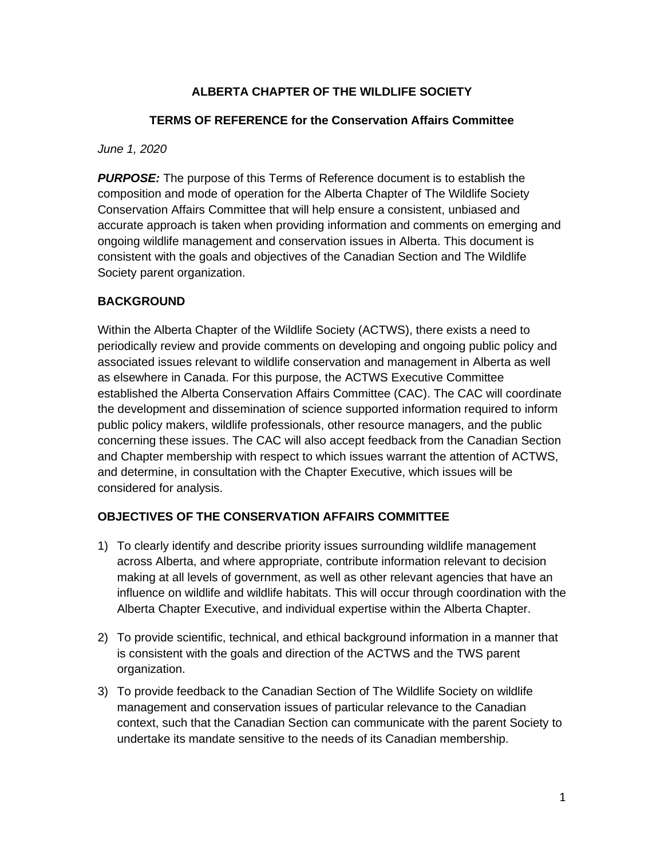## **ALBERTA CHAPTER OF THE WILDLIFE SOCIETY**

#### **TERMS OF REFERENCE for the Conservation Affairs Committee**

*June 1, 2020*

*PURPOSE:* The purpose of this Terms of Reference document is to establish the composition and mode of operation for the Alberta Chapter of The Wildlife Society Conservation Affairs Committee that will help ensure a consistent, unbiased and accurate approach is taken when providing information and comments on emerging and ongoing wildlife management and conservation issues in Alberta. This document is consistent with the goals and objectives of the Canadian Section and The Wildlife Society parent organization.

## **BACKGROUND**

Within the Alberta Chapter of the Wildlife Society (ACTWS), there exists a need to periodically review and provide comments on developing and ongoing public policy and associated issues relevant to wildlife conservation and management in Alberta as well as elsewhere in Canada. For this purpose, the ACTWS Executive Committee established the Alberta Conservation Affairs Committee (CAC). The CAC will coordinate the development and dissemination of science supported information required to inform public policy makers, wildlife professionals, other resource managers, and the public concerning these issues. The CAC will also accept feedback from the Canadian Section and Chapter membership with respect to which issues warrant the attention of ACTWS, and determine, in consultation with the Chapter Executive, which issues will be considered for analysis.

## **OBJECTIVES OF THE CONSERVATION AFFAIRS COMMITTEE**

- 1) To clearly identify and describe priority issues surrounding wildlife management across Alberta, and where appropriate, contribute information relevant to decision making at all levels of government, as well as other relevant agencies that have an influence on wildlife and wildlife habitats. This will occur through coordination with the Alberta Chapter Executive, and individual expertise within the Alberta Chapter.
- 2) To provide scientific, technical, and ethical background information in a manner that is consistent with the goals and direction of the ACTWS and the TWS parent organization.
- 3) To provide feedback to the Canadian Section of The Wildlife Society on wildlife management and conservation issues of particular relevance to the Canadian context, such that the Canadian Section can communicate with the parent Society to undertake its mandate sensitive to the needs of its Canadian membership.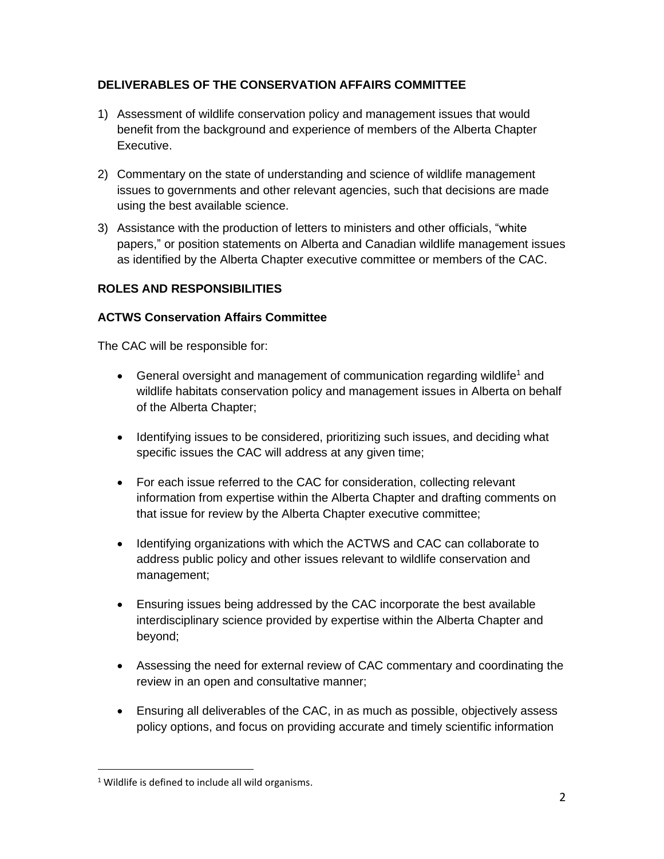## **DELIVERABLES OF THE CONSERVATION AFFAIRS COMMITTEE**

- 1) Assessment of wildlife conservation policy and management issues that would benefit from the background and experience of members of the Alberta Chapter Executive.
- 2) Commentary on the state of understanding and science of wildlife management issues to governments and other relevant agencies, such that decisions are made using the best available science.
- 3) Assistance with the production of letters to ministers and other officials, "white papers," or position statements on Alberta and Canadian wildlife management issues as identified by the Alberta Chapter executive committee or members of the CAC.

# **ROLES AND RESPONSIBILITIES**

## **ACTWS Conservation Affairs Committee**

The CAC will be responsible for:

- General oversight and management of communication regarding wildlife<sup>1</sup> and wildlife habitats conservation policy and management issues in Alberta on behalf of the Alberta Chapter;
- Identifying issues to be considered, prioritizing such issues, and deciding what specific issues the CAC will address at any given time;
- For each issue referred to the CAC for consideration, collecting relevant information from expertise within the Alberta Chapter and drafting comments on that issue for review by the Alberta Chapter executive committee;
- Identifying organizations with which the ACTWS and CAC can collaborate to address public policy and other issues relevant to wildlife conservation and management;
- Ensuring issues being addressed by the CAC incorporate the best available interdisciplinary science provided by expertise within the Alberta Chapter and beyond;
- Assessing the need for external review of CAC commentary and coordinating the review in an open and consultative manner;
- Ensuring all deliverables of the CAC, in as much as possible, objectively assess policy options, and focus on providing accurate and timely scientific information

 $1$  Wildlife is defined to include all wild organisms.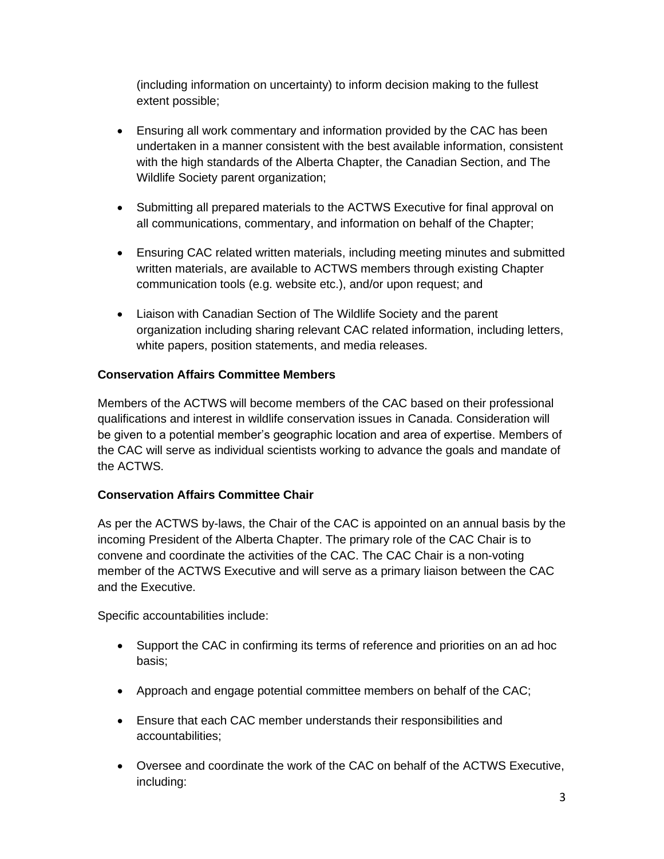(including information on uncertainty) to inform decision making to the fullest extent possible;

- Ensuring all work commentary and information provided by the CAC has been undertaken in a manner consistent with the best available information, consistent with the high standards of the Alberta Chapter, the Canadian Section, and The Wildlife Society parent organization;
- Submitting all prepared materials to the ACTWS Executive for final approval on all communications, commentary, and information on behalf of the Chapter;
- Ensuring CAC related written materials, including meeting minutes and submitted written materials, are available to ACTWS members through existing Chapter communication tools (e.g. website etc.), and/or upon request; and
- Liaison with Canadian Section of The Wildlife Society and the parent organization including sharing relevant CAC related information, including letters, white papers, position statements, and media releases.

## **Conservation Affairs Committee Members**

Members of the ACTWS will become members of the CAC based on their professional qualifications and interest in wildlife conservation issues in Canada. Consideration will be given to a potential member's geographic location and area of expertise. Members of the CAC will serve as individual scientists working to advance the goals and mandate of the ACTWS.

## **Conservation Affairs Committee Chair**

As per the ACTWS by-laws, the Chair of the CAC is appointed on an annual basis by the incoming President of the Alberta Chapter. The primary role of the CAC Chair is to convene and coordinate the activities of the CAC. The CAC Chair is a non-voting member of the ACTWS Executive and will serve as a primary liaison between the CAC and the Executive.

Specific accountabilities include:

- Support the CAC in confirming its terms of reference and priorities on an ad hoc basis;
- Approach and engage potential committee members on behalf of the CAC;
- Ensure that each CAC member understands their responsibilities and accountabilities;
- Oversee and coordinate the work of the CAC on behalf of the ACTWS Executive, including: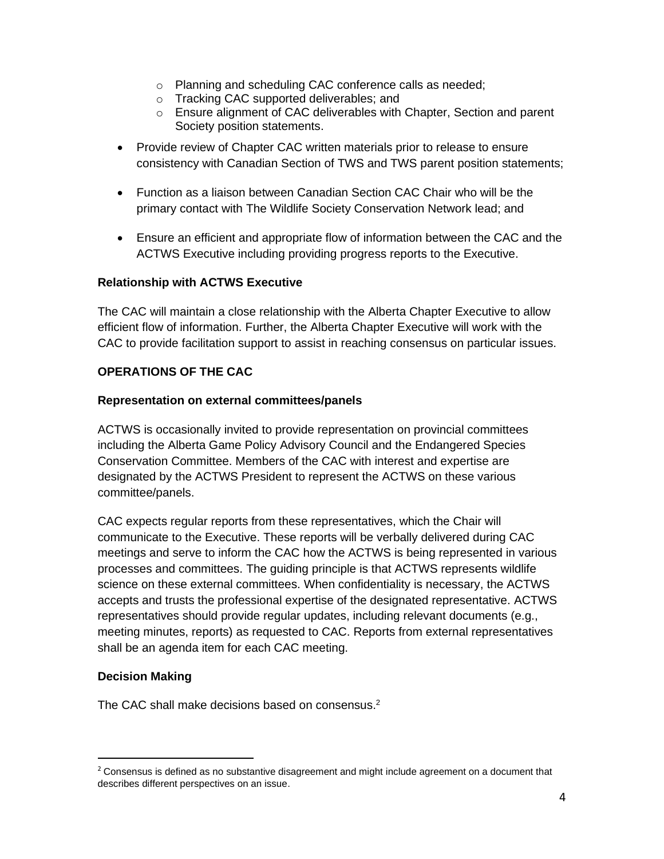- o Planning and scheduling CAC conference calls as needed;
- o Tracking CAC supported deliverables; and
- o Ensure alignment of CAC deliverables with Chapter, Section and parent Society position statements.
- Provide review of Chapter CAC written materials prior to release to ensure consistency with Canadian Section of TWS and TWS parent position statements;
- Function as a liaison between Canadian Section CAC Chair who will be the primary contact with The Wildlife Society Conservation Network lead; and
- Ensure an efficient and appropriate flow of information between the CAC and the ACTWS Executive including providing progress reports to the Executive.

## **Relationship with ACTWS Executive**

The CAC will maintain a close relationship with the Alberta Chapter Executive to allow efficient flow of information. Further, the Alberta Chapter Executive will work with the CAC to provide facilitation support to assist in reaching consensus on particular issues.

## **OPERATIONS OF THE CAC**

## **Representation on external committees/panels**

ACTWS is occasionally invited to provide representation on provincial committees including the Alberta Game Policy Advisory Council and the Endangered Species Conservation Committee. Members of the CAC with interest and expertise are designated by the ACTWS President to represent the ACTWS on these various committee/panels.

CAC expects regular reports from these representatives, which the Chair will communicate to the Executive. These reports will be verbally delivered during CAC meetings and serve to inform the CAC how the ACTWS is being represented in various processes and committees. The guiding principle is that ACTWS represents wildlife science on these external committees. When confidentiality is necessary, the ACTWS accepts and trusts the professional expertise of the designated representative. ACTWS representatives should provide regular updates, including relevant documents (e.g., meeting minutes, reports) as requested to CAC. Reports from external representatives shall be an agenda item for each CAC meeting.

## **Decision Making**

The CAC shall make decisions based on consensus.<sup>2</sup>

<sup>&</sup>lt;sup>2</sup> Consensus is defined as no substantive disagreement and might include agreement on a document that describes different perspectives on an issue.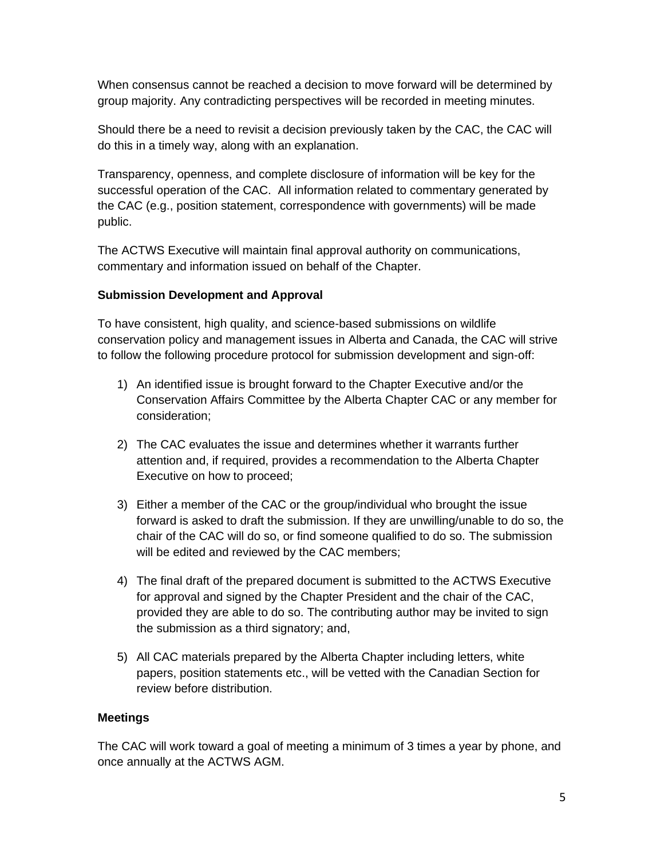When consensus cannot be reached a decision to move forward will be determined by group majority. Any contradicting perspectives will be recorded in meeting minutes.

Should there be a need to revisit a decision previously taken by the CAC, the CAC will do this in a timely way, along with an explanation.

Transparency, openness, and complete disclosure of information will be key for the successful operation of the CAC. All information related to commentary generated by the CAC (e.g., position statement, correspondence with governments) will be made public.

The ACTWS Executive will maintain final approval authority on communications, commentary and information issued on behalf of the Chapter.

#### **Submission Development and Approval**

To have consistent, high quality, and science-based submissions on wildlife conservation policy and management issues in Alberta and Canada, the CAC will strive to follow the following procedure protocol for submission development and sign-off:

- 1) An identified issue is brought forward to the Chapter Executive and/or the Conservation Affairs Committee by the Alberta Chapter CAC or any member for consideration;
- 2) The CAC evaluates the issue and determines whether it warrants further attention and, if required, provides a recommendation to the Alberta Chapter Executive on how to proceed;
- 3) Either a member of the CAC or the group/individual who brought the issue forward is asked to draft the submission. If they are unwilling/unable to do so, the chair of the CAC will do so, or find someone qualified to do so. The submission will be edited and reviewed by the CAC members;
- 4) The final draft of the prepared document is submitted to the ACTWS Executive for approval and signed by the Chapter President and the chair of the CAC, provided they are able to do so. The contributing author may be invited to sign the submission as a third signatory; and,
- 5) All CAC materials prepared by the Alberta Chapter including letters, white papers, position statements etc., will be vetted with the Canadian Section for review before distribution.

#### **Meetings**

The CAC will work toward a goal of meeting a minimum of 3 times a year by phone, and once annually at the ACTWS AGM.